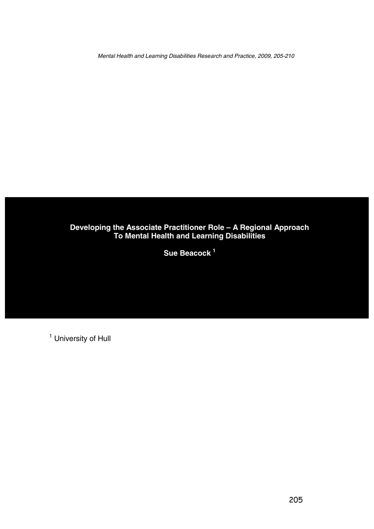Mental Health and Learning Disabilities Research and Practice, 2009, 205-210

## **Developing the Associate Practitioner Role – A Regional Approach To Mental Health and Learning Disabilities**

**Sue Beacock <sup>1</sup>**

<sup>1</sup> University of Hull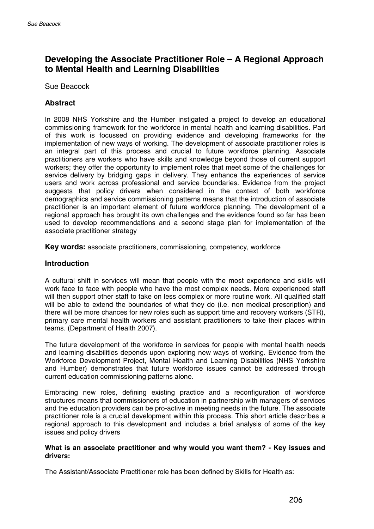# **Developing the Associate Practitioner Role – A Regional Approach to Mental Health and Learning Disabilities**

Sue Beacock

### **Abstract**

In 2008 NHS Yorkshire and the Humber instigated a project to develop an educational commissioning framework for the workforce in mental health and learning disabilities. Part of this work is focussed on providing evidence and developing frameworks for the implementation of new ways of working. The development of associate practitioner roles is an integral part of this process and crucial to future workforce planning. Associate practitioners are workers who have skills and knowledge beyond those of current support workers; they offer the opportunity to implement roles that meet some of the challenges for service delivery by bridging gaps in delivery. They enhance the experiences of service users and work across professional and service boundaries. Evidence from the project suggests that policy drivers when considered in the context of both workforce demographics and service commissioning patterns means that the introduction of associate practitioner is an important element of future workforce planning. The development of a regional approach has brought its own challenges and the evidence found so far has been used to develop recommendations and a second stage plan for implementation of the associate practitioner strategy

**Key words:** associate practitioners, commissioning, competency, workforce

#### **Introduction**

A cultural shift in services will mean that people with the most experience and skills will work face to face with people who have the most complex needs. More experienced staff will then support other staff to take on less complex or more routine work. All qualified staff will be able to extend the boundaries of what they do (i.e. non medical prescription) and there will be more chances for new roles such as support time and recovery workers (STR), primary care mental health workers and assistant practitioners to take their places within teams. (Department of Health 2007).

The future development of the workforce in services for people with mental health needs and learning disabilities depends upon exploring new ways of working. Evidence from the Workforce Development Project, Mental Health and Learning Disabilities (NHS Yorkshire and Humber) demonstrates that future workforce issues cannot be addressed through current education commissioning patterns alone.

Embracing new roles, defining existing practice and a reconfiguration of workforce structures means that commissioners of education in partnership with managers of services and the education providers can be pro-active in meeting needs in the future. The associate practitioner role is a crucial development within this process. This short article describes a regional approach to this development and includes a brief analysis of some of the key issues and policy drivers

#### **What is an associate practitioner and why would you want them?-Key issues and drivers:**

The Assistant/Associate Practitioner role has been defined by Skills for Health as: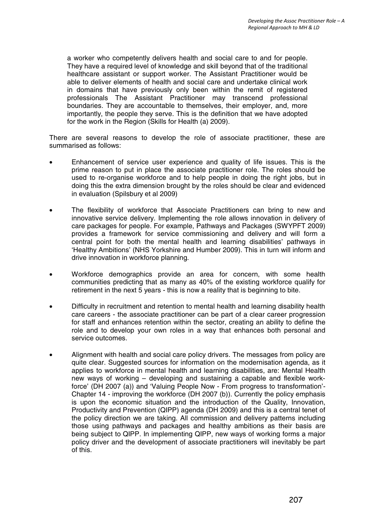a worker who competently delivers health and social care to and for people. They have a required level of knowledge and skill beyond that of the traditional healthcare assistant or support worker. The Assistant Practitioner would be able to deliver elements of health and social care and undertake clinical work in domains that have previously only been within the remit of registered professionals The Assistant Practitioner may transcend professional boundaries. They are accountable to themselves, their employer, and, more importantly, the people they serve. This is the definition that we have adopted for the work in the Region (Skills for Health (a) 2009).

There are several reasons to develop the role of associate practitioner, these are summarised as follows:

- Enhancement of service user experience and quality of life issues. This is the prime reason to put in place the associate practitioner role. The roles should be used to re-organise workforce and to help people in doing the right jobs, but in doing this the extra dimension brought by the roles should be clear and evidenced in evaluation (Spilsbury et al 2009)
- The flexibility of workforce that Associate Practitioners can bring to new and innovative service delivery. Implementing the role allows innovation in delivery of care packages for people. For example, Pathways and Packages (SWYPFT 2009) provides a framework for service commissioning and delivery and will form a central point for both the mental health and learning disabilities' pathways in 'Healthy Ambitions' (NHS Yorkshire and Humber 2009). This in turn will inform and drive innovation in workforce planning.
- Workforce demographics provide an area for concern, with some health communities predicting that as many as 40% of the existing workforce qualify for retirement in the next 5 years - this is now a reality that is beginning to bite.
- Difficulty in recruitment and retention to mental health and learning disability health care careers - the associate practitioner can be part of a clear career progression for staff and enhances retention within the sector, creating an ability to define the role and to develop your own roles in a way that enhances both personal and service outcomes.
- Alignment with health and social care policy drivers. The messages from policy are quite clear. Suggested sources for information on the modernisation agenda, as it applies to workforce in mental health and learning disabilities, are: Mental Health new ways of working – developing and sustaining a capable and flexible workforce' (DH 2007 (a)) and 'Valuing People Now - From progress to transformation'- Chapter 14 - improving the workforce (DH 2007 (b)). Currently the policy emphasis is upon the economic situation and the introduction of the Quality, Innovation, Productivity and Prevention (QIPP) agenda (DH 2009) and this is a central tenet of the policy direction we are taking. All commission and delivery patterns including those using pathways and packages and healthy ambitions as their basis are being subject to QIPP. In implementing QIPP, new ways of working forms a major policy driver and the development of associate practitioners will inevitably be part of this.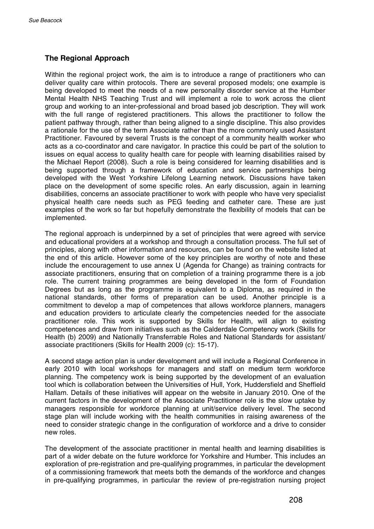### **The Regional Approach**

Within the regional project work, the aim is to introduce a range of practitioners who can deliver quality care within protocols. There are several proposed models; one example is being developed to meet the needs of a new personality disorder service at the Humber Mental Health NHS Teaching Trust and will implement a role to work across the client group and working to an inter-professional and broad based job description. They will work with the full range of registered practitioners. This allows the practitioner to follow the patient pathway through, rather than being aligned to a single discipline. This also provides a rationale for the use of the term Associate rather than the more commonly used Assistant Practitioner. Favoured by several Trusts is the concept of a community health worker who acts as a co-coordinator and care navigator. In practice this could be part of the solution to issues on equal access to quality health care for people with learning disabilities raised by the Michael Report (2008). Such a role is being considered for learning disabilities and is being supported through a framework of education and service partnerships being developed with the West Yorkshire Lifelong Learning network. Discussions have taken place on the development of some specific roles. An early discussion, again in learning disabilities, concerns an associate practitioner to work with people who have very specialist physical health care needs such as PEG feeding and catheter care. These are just examples of the work so far but hopefully demonstrate the flexibility of models that can be implemented.

The regional approach is underpinned by a set of principles that were agreed with service and educational providers at a workshop and through a consultation process. The full set of principles, along with other information and resources, can be found on the website listed at the end of this article. However some of the key principles are worthy of note and these include the encouragement to use annex U (Agenda for Change) as training contracts for associate practitioners, ensuring that on completion of a training programme there is a job role. The current training programmes are being developed in the form of Foundation Degrees but as long as the programme is equivalent to a Diploma, as required in the national standards, other forms of preparation can be used. Another principle is a commitment to develop a map of competences that allows workforce planners, managers and education providers to articulate clearly the competencies needed for the associate practitioner role. This work is supported by Skills for Health, will align to existing competences and draw from initiatives such as the Calderdale Competency work (Skills for Health (b) 2009) and Nationally Transferrable Roles and National Standards for assistant/ associate practitioners (Skills for Health 2009 (c): 15-17).

A second stage action plan is under development and will include a Regional Conference in early 2010 with local workshops for managers and staff on medium term workforce planning. The competency work is being supported by the development of an evaluation tool which is collaboration between the Universities of Hull, York, Huddersfield and Sheffield Hallam. Details of these initiatives will appear on the website in January 2010. One of the current factors in the development of the Associate Practitioner role is the slow uptake by managers responsible for workforce planning at unit/service delivery level. The second stage plan will include working with the health communities in raising awareness of the need to consider strategic change in the configuration of workforce and a drive to consider new roles.

The development of the associate practitioner in mental health and learning disabilities is part of a wider debate on the future workforce for Yorkshire and Humber. This includes an exploration of pre-registration and pre-qualifying programmes, in particular the development of a commissioning framework that meets both the demands of the workforce and changes in pre-qualifying programmes, in particular the review of pre-registration nursing project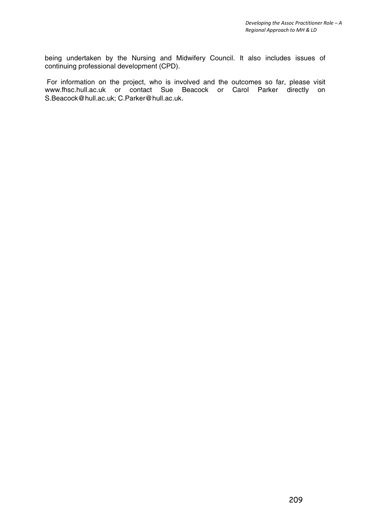being undertaken by the Nursing and Midwifery Council. It also includes issues of continuing professional development (CPD).

For information on the project, who is involved and the outcomes so far, please visit www.fhsc.hull.ac.uk or contact Sue Beacock or Carol Parker directly on S.Beacock@hull.ac.uk; C.Parker@hull.ac.uk.